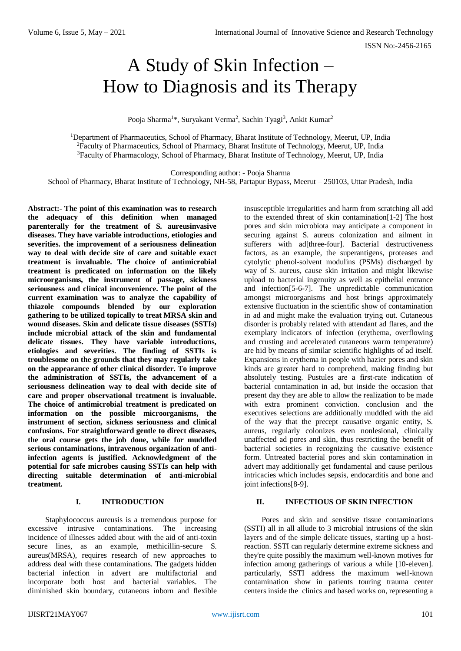# A Study of Skin Infection – How to Diagnosis and its Therapy

Pooja Sharma<sup>1\*</sup>, Suryakant Verma<sup>2</sup>, Sachin Tyagi<sup>3</sup>, Ankit Kumar<sup>2</sup>

<sup>1</sup>Department of Pharmaceutics, School of Pharmacy, Bharat Institute of Technology, Meerut, UP, India <sup>2</sup>Faculty of Pharmaceutics, School of Pharmacy, Bharat Institute of Technology, Meerut, UP, India <sup>3</sup>Faculty of Pharmacology, School of Pharmacy, Bharat Institute of Technology, Meerut, UP, India

Corresponding author: - Pooja Sharma

School of Pharmacy, Bharat Institute of Technology, NH-58, Partapur Bypass, Meerut – 250103, Uttar Pradesh, India

**Abstract:- The point of this examination was to research the adequacy of this definition when managed parenterally for the treatment of S. aureusinvasive diseases. They have variable introductions, etiologies and severities. the improvement of a seriousness delineation way to deal with decide site of care and suitable exact treatment is invaluable. The choice of antimicrobial treatment is predicated on information on the likely microorganisms, the instrument of passage, sickness seriousness and clinical inconvenience. The point of the current examination was to analyze the capability of thiazole compounds blended by our exploration gathering to be utilized topically to treat MRSA skin and wound diseases. Skin and delicate tissue diseases (SSTIs) include microbial attack of the skin and fundamental delicate tissues. They have variable introductions, etiologies and severities. The finding of SSTIs is troublesome on the grounds that they may regularly take on the appearance of other clinical disorder. To improve the administration of SSTIs, the advancement of a seriousness delineation way to deal with decide site of care and proper observational treatment is invaluable. The choice of antimicrobial treatment is predicated on information on the possible microorganisms, the instrument of section, sickness seriousness and clinical confusions. For straightforward gentle to direct diseases, the oral course gets the job done, while for muddled serious contaminations, intravenous organization of antiinfection agents is justified. Acknowledgment of the potential for safe microbes causing SSTIs can help with directing suitable determination of anti-microbial treatment.**

## **I. INTRODUCTION**

Staphylococcus aureusis is a tremendous purpose for excessive intrusive contaminations. The increasing incidence of illnesses added about with the aid of anti-toxin secure lines, as an example, methicillin-secure S. aureus(MRSA), requires research of new approaches to address deal with these contaminations. The gadgets hidden bacterial infection in advert are multifactorial and incorporate both host and bacterial variables. The diminished skin boundary, cutaneous inborn and flexible

insusceptible irregularities and harm from scratching all add to the extended threat of skin contamination[1-2] The host pores and skin microbiota may anticipate a component in securing against S. aureus colonization and ailment in sufferers with ad[three-four]. Bacterial destructiveness factors, as an example, the superantigens, proteases and cytolytic phenol-solvent modulins (PSMs) discharged by way of S. aureus, cause skin irritation and might likewise upload to bacterial ingenuity as well as epithelial entrance and infection[5-6-7]. The unpredictable communication amongst microorganisms and host brings approximately extensive fluctuation in the scientific show of contamination in ad and might make the evaluation trying out. Cutaneous disorder is probably related with attendant ad flares, and the exemplary indicators of infection (erythema, overflowing and crusting and accelerated cutaneous warm temperature) are hid by means of similar scientific highlights of ad itself. Expansions in erythema in people with hazier pores and skin kinds are greater hard to comprehend, making finding but absolutely testing. Pustules are a first-rate indication of bacterial contamination in ad, but inside the occasion that present day they are able to allow the realization to be made with extra prominent conviction. conclusion and the executives selections are additionally muddled with the aid of the way that the precept causative organic entity, S. aureus, regularly colonizes even nonlesional, clinically unaffected ad pores and skin, thus restricting the benefit of bacterial societies in recognizing the causative existence form. Untreated bacterial pores and skin contamination in advert may additionally get fundamental and cause perilous intricacies which includes sepsis, endocarditis and bone and joint infections[8-9].

## **II. INFECTIOUS OF SKIN INFECTION**

Pores and skin and sensitive tissue contaminations (SSTI) all in all allude to 3 microbial intrusions of the skin layers and of the simple delicate tissues, starting up a hostreaction. SSTI can regularly determine extreme sickness and they're quite possibly the maximum well-known motives for infection among gatherings of various a while [10-eleven]. particularly, SSTI address the maximum well-known contamination show in patients touring trauma center centers inside the clinics and based works on, representing a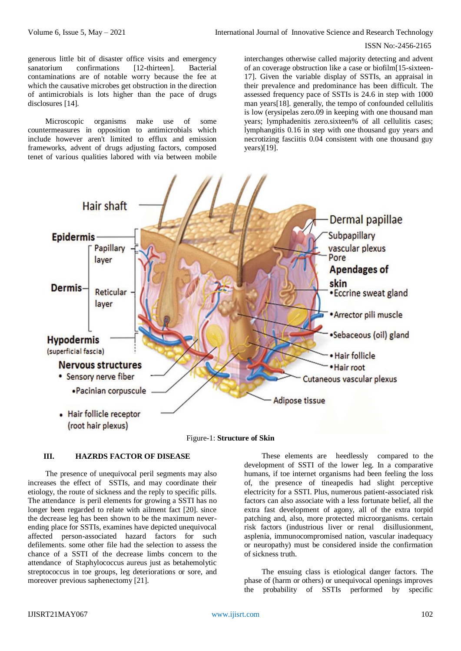generous little bit of disaster office visits and emergency sanatorium confirmations [12-thirteen]. Bacterial contaminations are of notable worry because the fee at which the causative microbes get obstruction in the direction of antimicrobials is lots higher than the pace of drugs disclosures [14].

Microscopic organisms make use of some countermeasures in opposition to antimicrobials which include however aren't limited to efflux and emission frameworks, advent of drugs adjusting factors, composed tenet of various qualities labored with via between mobile

interchanges otherwise called majority detecting and advent of an coverage obstruction like a case or biofilm[15-sixteen-17]. Given the variable display of SSTIs, an appraisal in their prevalence and predominance has been difficult. The assessed frequency pace of SSTIs is 24.6 in step with 1000 man years[18]. generally, the tempo of confounded cellulitis is low (erysipelas zero.09 in keeping with one thousand man years; lymphadenitis zero.sixteen% of all cellulitis cases; lymphangitis 0.16 in step with one thousand guy years and necrotizing fasciitis 0.04 consistent with one thousand guy years)[19].



Figure-1: **Structure of Skin**

## **III. HAZRDS FACTOR OF DISEASE**

The presence of unequivocal peril segments may also increases the effect of SSTIs, and may coordinate their etiology, the route of sickness and the reply to specific pills. The attendance is peril elements for growing a SSTI has no longer been regarded to relate with ailment fact [20]. since the decrease leg has been shown to be the maximum neverending place for SSTIs, examines have depicted unequivocal affected person-associated hazard factors for such defilements. some other file had the selection to assess the chance of a SSTI of the decrease limbs concern to the attendance of Staphylococcus aureus just as betahemolytic streptococcus in toe groups, leg deteriorations or sore, and moreover previous saphenectomy [21].

These elements are heedlessly compared to the development of SSTI of the lower leg. In a comparative humans, if toe internet organisms had been feeling the loss of, the presence of tineapedis had slight perceptive electricity for a SSTI. Plus, numerous patient-associated risk factors can also associate with a less fortunate belief, all the extra fast development of agony, all of the extra torpid patching and, also, more protected microorganisms. certain risk factors (industrious liver or renal disillusionment, asplenia, immunocompromised nation, vascular inadequacy or neuropathy) must be considered inside the confirmation of sickness truth.

The ensuing class is etiological danger factors. The phase of (harm or others) or unequivocal openings improves the probability of SSTIs performed by specific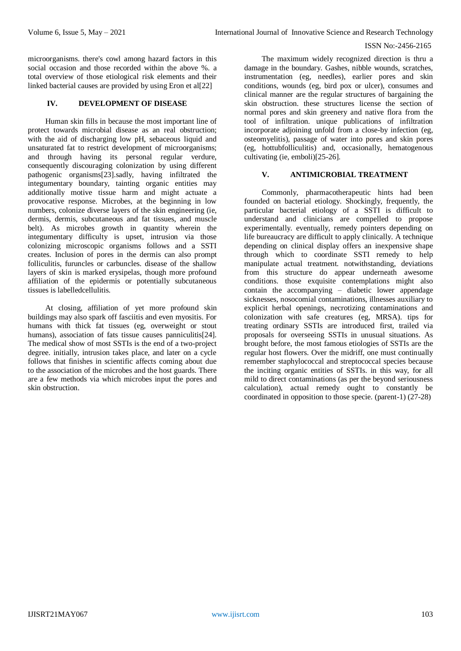microorganisms. there's cowl among hazard factors in this social occasion and those recorded within the above %. a total overview of those etiological risk elements and their linked bacterial causes are provided by using Eron et al[22]

## **IV. DEVELOPMENT OF DISEASE**

Human skin fills in because the most important line of protect towards microbial disease as an real obstruction; with the aid of discharging low pH, sebaceous liquid and unsaturated fat to restrict development of microorganisms; and through having its personal regular verdure, consequently discouraging colonization by using different pathogenic organisms[23].sadly, having infiltrated the integumentary boundary, tainting organic entities may additionally motive tissue harm and might actuate a provocative response. Microbes, at the beginning in low numbers, colonize diverse layers of the skin engineering (ie, dermis, dermis, subcutaneous and fat tissues, and muscle belt). As microbes growth in quantity wherein the integumentary difficulty is upset, intrusion via those colonizing microscopic organisms follows and a SSTI creates. Inclusion of pores in the dermis can also prompt folliculitis, furuncles or carbuncles. disease of the shallow layers of skin is marked erysipelas, though more profound affiliation of the epidermis or potentially subcutaneous tissues is labelledcellulitis.

At closing, affiliation of yet more profound skin buildings may also spark off fasciitis and even myositis. For humans with thick fat tissues (eg, overweight or stout humans), association of fats tissue causes panniculitis<sup>[24]</sup>. The medical show of most SSTIs is the end of a two-project degree. initially, intrusion takes place, and later on a cycle follows that finishes in scientific affects coming about due to the association of the microbes and the host guards. There are a few methods via which microbes input the pores and skin obstruction.

The maximum widely recognized direction is thru a damage in the boundary. Gashes, nibble wounds, scratches, instrumentation (eg, needles), earlier pores and skin conditions, wounds (eg, bird pox or ulcer), consumes and clinical manner are the regular structures of bargaining the skin obstruction. these structures license the section of normal pores and skin greenery and native flora from the tool of infiltration. unique publications of infiltration incorporate adjoining unfold from a close-by infection (eg, osteomyelitis), passage of water into pores and skin pores (eg, hottubfolliculitis) and, occasionally, hematogenous cultivating (ie, emboli)[25-26].

## **V. ANTIMICROBIAL TREATMENT**

Commonly, pharmacotherapeutic hints had been founded on bacterial etiology. Shockingly, frequently, the particular bacterial etiology of a SSTI is difficult to understand and clinicians are compelled to propose experimentally. eventually, remedy pointers depending on life bureaucracy are difficult to apply clinically. A technique depending on clinical display offers an inexpensive shape through which to coordinate SSTI remedy to help manipulate actual treatment. notwithstanding, deviations from this structure do appear underneath awesome conditions. those exquisite contemplations might also contain the accompanying – diabetic lower appendage sicknesses, nosocomial contaminations, illnesses auxiliary to explicit herbal openings, necrotizing contaminations and colonization with safe creatures (eg, MRSA). tips for treating ordinary SSTIs are introduced first, trailed via proposals for overseeing SSTIs in unusual situations. As brought before, the most famous etiologies of SSTIs are the regular host flowers. Over the midriff, one must continually remember staphylococcal and streptococcal species because the inciting organic entities of SSTIs. in this way, for all mild to direct contaminations (as per the beyond seriousness calculation), actual remedy ought to constantly be coordinated in opposition to those specie. (parent-1) (27-28)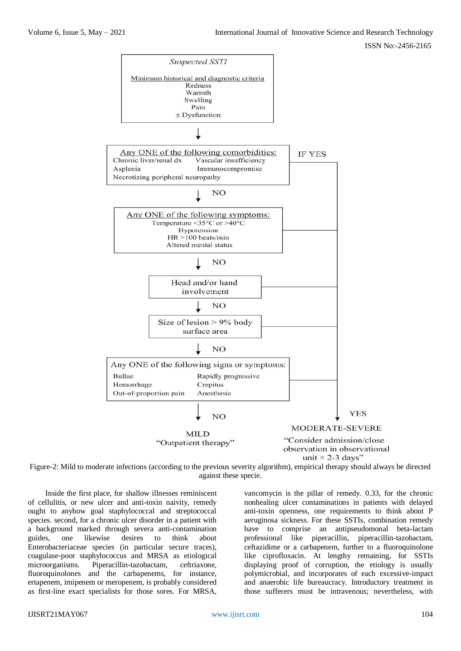

Figure-2: Mild to moderate infections (according to the previous severity algorithm), empirical therapy should always be directed against these specie.

Inside the first place, for shallow illnesses reminiscent of cellulitis, or new ulcer and anti-toxin naivity, remedy ought to anyhow goal staphylococcal and streptococcal species. second, for a chronic ulcer disorder in a patient with a background marked through severa anti-contamination guides, one likewise desires to think about Enterobacteriaceae species (in particular secure traces), coagulase-poor staphylococcus and MRSA as etiological microorganisms. Piperacillin-tazobactam, ceftriaxone, fluoroquinolones and the carbapenems, for instance, ertapenem, imipenem or meropenem, is probably considered as first-line exact specialists for those sores. For MRSA,

vancomycin is the pillar of remedy. 0.33, for the chronic nonhealing ulcer contaminations in patients with delayed anti-toxin openness, one requirements to think about P aeruginosa sickness. For these SSTIs, combination remedy have to comprise an antipseudomonal beta-lactam professional like piperacillin, piperacillin-tazobactam, ceftazidime or a carbapenem, further to a fluoroquinolone like ciprofloxacin. At lengthy remaining, for SSTIs displaying proof of corruption, the etiology is usually polymicrobial, and incorporates of each excessive-impact and anaerobic life bureaucracy. Introductory treatment in those sufferers must be intravenous; nevertheless, with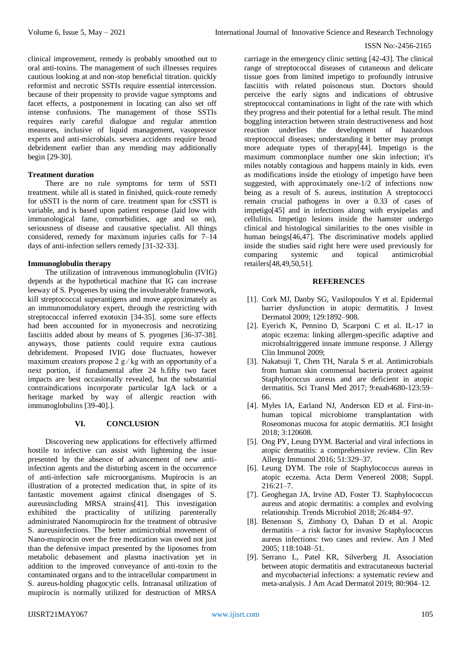clinical improvement, remedy is probably smoothed out to oral anti-toxins. The management of such illnesses requires cautious looking at and non-stop beneficial titration. quickly reformist and necrotic SSTIs require essential intercession. because of their propensity to provide vague symptoms and facet effects, a postponement in locating can also set off intense confusions. The management of those SSTIs requires early careful dialogue and regular attention measures, inclusive of liquid management, vasopressor experts and anti-microbials. severa accidents require broad debridement earlier than any mending may additionally begin [29-30].

## **Treatment duration**

There are no rule symptoms for term of SSTI treatment. while all is stated in finished, quick-route remedy for uSSTI is the norm of care. treatment span for cSSTI is variable, and is based upon patient response (laid low with immunological fame, comorbidities, age and so on), seriousness of disease and causative specialist. All things considered, remedy for maximum injuries calls for 7–14 days of anti-infection sellers remedy [31-32-33].

#### **Immunoglobulin therapy**

The utilization of intravenous immunoglobulin (IVIG) depends at the hypothetical machine that IG can increase leeway of S. Pyogenes by using the invulnerable framework, kill streptococcal superantigens and move approximately as an immunomodulatory expert, through the restricting with streptococcal inferred exotoxin [34-35]. some sure effects had been accounted for in myonecrosis and necrotizing fasciitis added about by means of S. pyogenes [36-37-38]. anyways, those patients could require extra cautious debridement. Proposed IVIG dose fluctuates, however maximum creators propose  $2 g/kg$  with an opportunity of a next portion, if fundamental after 24 h.fifty two facet impacts are best occasionally revealed, but the substantial contraindications incorporate particular IgA lack or a heritage marked by way of allergic reaction with immunoglobulins [39-40].].

#### **VI. CONCLUSION**

Discovering new applications for effectively affirmed hostile to infective can assist with lightening the issue presented by the absence of advancement of new antiinfection agents and the disturbing ascent in the occurrence of anti-infection safe microorganisms. Mupirocin is an illustration of a protected medication that, in spite of its fantastic movement against clinical disengages of S. aureusincluding MRSA strains[41]. This investigation exhibited the practicality of utilizing parenterally administrated Nanomupirocin for the treatment of obtrusive S. aureusinfections. The better antimicrobial movement of Nano-mupirocin over the free medication was owed not just than the defensive impact presented by the liposomes from metabolic debasement and plasma inactivation yet in addition to the improved conveyance of anti-toxin to the contaminated organs and to the intracellular compartment in S. aureus-holding phagocytic cells. Intranasal utilization of mupirocin is normally utilized for destruction of MRSA

carriage in the emergency clinic setting [42-43]. The clinical range of streptococcal diseases of cutaneous and delicate tissue goes from limited impetigo to profoundly intrusive fasciitis with related poisonous stun. Doctors should perceive the early signs and indications of obtrusive streptococcal contaminations in light of the rate with which they progress and their potential for a lethal result. The mind boggling interaction between strain destructiveness and host reaction underlies the development of hazardous streptococcal diseases; understanding it better may prompt more adequate types of therapy[44]. Impetigo is the maximum commonplace number one skin infection; it's miles notably contagious and happens mainly in kids. even as modifications inside the etiology of impetigo have been suggested, with approximately one-1/2 of infections now being as a result of S. aureus, institution A streptococci remain crucial pathogens in over a 0.33 of cases of impetigo[45] and in infections along with erysipelas and cellulitis. Impetigo lesions inside the hamster undergo clinical and histological similarities to the ones visible in human beings[46,47]. The discriminative models applied inside the studies said right here were used previously for comparing systemic and topical antimicrobial retailers[48,49,50,51].

#### **REFERENCES**

- [1]. Cork MJ, Danby SG, Vasilopoulos Y et al. Epidermal barrier dysfunction in atopic dermatitis. J Invest Dermatol 2009; 129:1892–908.
- [2]. Eyerich K, Pennino D, Scarponi C et al. IL-17 in atopic eczema: linking allergen-specific adaptive and microbialtriggered innate immune response. J Allergy Clin Immunol 2009;
- [3]. Nakatsuji T, Chen TH, Narala S et al. Antimicrobials from human skin commensal bacteria protect against Staphylococcus aureus and are deficient in atopic dermatitis. Sci Transl Med 2017; 9:eaah4680-123:59– 66.
- [4]. Myles IA, Earland NJ, Anderson ED et al. First-inhuman topical microbiome transplantation with Roseomonas mucosa for atopic dermatitis. JCI Insight 2018; 3:120608.
- [5]. Ong PY, Leung DYM. Bacterial and viral infections in atopic dermatitis: a comprehensive review. Clin Rev Allergy Immunol 2016; 51:329–37.
- [6]. Leung DYM. The role of Staphylococcus aureus in atopic eczema. Acta Derm Venereol 2008; Suppl. 216:21–7.
- [7]. Geoghegan JA, Irvine AD, Foster TJ. Staphylococcus aureus and atopic dermatitis: a complex and evolving relationship. Trends Microbiol 2018; 26:484–97.
- [8]. Benenson S, Zimhony O, Dahan D et al. Atopic dermatitis – a risk factor for invasive Staphylococcus aureus infections: two cases and review. Am J Med 2005; 118:1048–51.
- [9]. Serrano L, Patel KR, Silverberg JI. Association between atopic dermatitis and extracutaneous bacterial and mycobacterial infections: a systematic review and meta-analysis. J Am Acad Dermatol 2019; 80:904–12.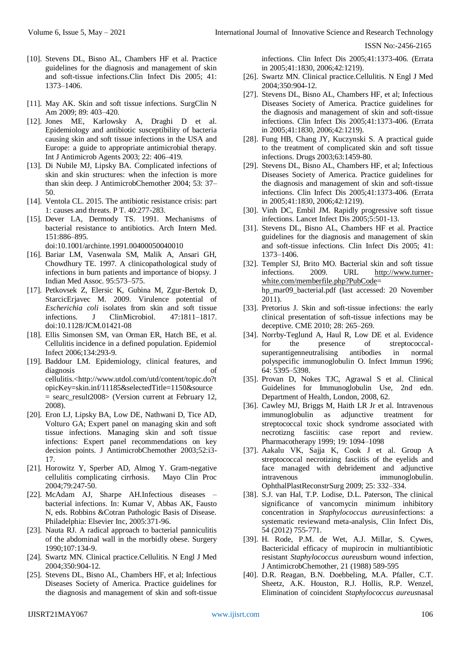- [10]. Stevens DL, Bisno AL, Chambers HF et al. Practice guidelines for the diagnosis and management of skin and soft-tissue infections.Clin Infect Dis 2005; 41: 1373–1406.
- [11]. May AK. Skin and soft tissue infections. SurgClin N Am 2009; 89: 403–420.
- [12]. Jones ME, Karlowsky A, Draghi D et al. Epidemiology and antibiotic susceptibility of bacteria causing skin and soft tissue infections in the USA and Europe: a guide to appropriate antimicrobial therapy. Int J Antimicrob Agents 2003; 22: 406–419.
- [13]. Di Nubile MJ, Lipsky BA. Complicated infections of skin and skin structures: when the infection is more than skin deep. J AntimicrobChemother 2004; 53: 37– 50.
- [14]. Ventola CL. 2015. The antibiotic resistance crisis: part 1: causes and threats. P T. 40:277-283.
- [15]. Dever LA, Dermody TS. 1991. Mechanisms of bacterial resistance to antibiotics. Arch Intern Med. 151:886–895.

doi:10.1001/archinte.1991.00400050040010

- [16]. Bariar LM, Vasenwala SM, Malik A, Ansari GH, Chowdhury TE. 1997. A clinicopathological study of infections in burn patients and importance of biopsy. J Indian Med Assoc. 95:573–575.
- [17]. Petkovsek Z, Elersic K, Gubina M, Zgur-Bertok D, StarcicErjavec M. 2009. Virulence potential of *Escherichia coli* isolates from skin and soft tissue infections. J ClinMicrobiol. 47:1811–1817. doi:10.1128/JCM.01421-08
- [18]. Ellis Simonsen SM, van Orman ER, Hatch BE, et al. Cellulitis incidence in a defined population. Epidemiol Infect 2006;134:293-9.
- [19]. Baddour LM. Epidemiology, clinical features, and diagnosis of cellulitis.<http://www.utdol.com/utd/content/topic.do?t opicKey=skin.inf/11185&selectedTitle=1150&source = searc\_result2008> (Version current at February 12, 2008).
- [20]. Eron LJ, Lipsky BA, Low DE, Nathwani D, Tice AD, Volturo GA; Expert panel on managing skin and soft tissue infections. Managing skin and soft tissue infections: Expert panel recommendations on key decision points. J AntimicrobChemother 2003;52:i3- 17.
- [21]. Horowitz Y, Sperber AD, Almog Y. Gram-negative cellulitis complicating cirrhosis. Mayo Clin Proc 2004;79:247-50.
- [22]. McAdam AJ, Sharpe AH.Infectious diseases bacterial infections. In: Kumar V, Abbas AK, Fausto N, eds. Robbins &Cotran Pathologic Basis of Disease. Philadelphia: Elsevier Inc, 2005:371-96.
- [23]. Nauta RJ. A radical approach to bacterial panniculitis of the abdominal wall in the morbidly obese. Surgery 1990;107:134-9.
- [24]. Swartz MN. Clinical practice.Cellulitis. N Engl J Med 2004;350:904-12.
- [25]. Stevens DL, Bisno AL, Chambers HF, et al; Infectious Diseases Society of America. Practice guidelines for the diagnosis and management of skin and soft-tissue

infections. Clin Infect Dis 2005;41:1373-406. (Errata in 2005;41:1830, 2006;42:1219).

- [26]. Swartz MN. Clinical practice.Cellulitis. N Engl J Med 2004;350:904-12.
- [27]. Stevens DL, Bisno AL, Chambers HF, et al; Infectious Diseases Society of America. Practice guidelines for the diagnosis and management of skin and soft-tissue infections. Clin Infect Dis 2005;41:1373-406. (Errata in 2005;41:1830, 2006;42:1219).
- [28]. Fung HB, Chang JY, Kuczynski S. A practical guide to the treatment of complicated skin and soft tissue infections. Drugs 2003;63:1459-80.
- [29]. Stevens DL, Bisno AL, Chambers HF, et al; Infectious Diseases Society of America. Practice guidelines for the diagnosis and management of skin and soft-tissue infections. Clin Infect Dis 2005;41:1373-406. (Errata in 2005;41:1830, 2006;42:1219).
- [30]. Vinh DC, Embil JM. Rapidly progressive soft tissue infections. Lancet Infect Dis 2005;5:501-13.
- [31]. Stevens DL, Bisno AL, Chambers HF et al. Practice guidelines for the diagnosis and management of skin and soft-tissue infections. Clin Infect Dis 2005; 41: 1373–1406.
- [32]. Templer SJ, Brito MO. Bacterial skin and soft tissue infections. 2009. URL [http://www.turner](http://www.turner-white.com/memberfile.php?PubCode)[white.com/memberfile.php?PubCode=](http://www.turner-white.com/memberfile.php?PubCode) hp\_mar09\_bacterial.pdf (last accessed: 20 November 2011).
- [33]. Pretorius J. Skin and soft-tissue infections: the early clinical presentation of soft-tissue infections may be deceptive. CME 2010; 28: 265–269.
- [34]. Norrby-Teglund A, Haul R, Low DE et al. Evidence for the presence of streptococcalsuperantigenneutralising antibodies in normal polyspecific immunoglobulin O. Infect Immun 1996; 64: 5395–5398.
- [35]. Provan D, Nokes TJC, Agrawal S et al. Clinical Guidelines for Immunoglobulin Use, 2nd edn. Department of Health, London, 2008, 62.
- [36]. Cawley MJ, Briggs M, Haith LR Jr et al. Intravenous immunoglobulin as adjunctive treatment for streptococcal toxic shock syndrome associated with necrotizng fasciitis: case report and review. Pharmacotherapy 1999; 19: 1094–1098
- [37]. Aakalu VK, Sajja K, Cook J et al. Group A streptococcal necrotizing fasciitis of the eyelids and face managed with debridement and adjunctive intravenous immunoglobulin. OphthalPlastReconstrSurg 2009; 25: 332–334.
- [38]. S.J. van Hal, T.P. Lodise, D.L. Paterson, The clinical significance of vancomycin minimum inhibitory concentration in *Staphylococcus aureus*infections: a systematic reviewand meta-analysis, Clin Infect Dis, 54 (2012) 755-771.
- [39]. H. Rode, P.M. de Wet, A.J. Millar, S. Cywes, Bactericidal efficacy of mupirocin in multiantibiotic resistant *Staphylococcus aureus*burn wound infection, J AntimicrobChemother, 21 (1988) 589-595
- [40]. D.R. Reagan, B.N. Doebbeling, M.A. Pfaller, C.T. Sheetz, A.K. Houston, R.J. Hollis, R.P. Wenzel, Elimination of coincident *Staphylococcus aureus*nasal